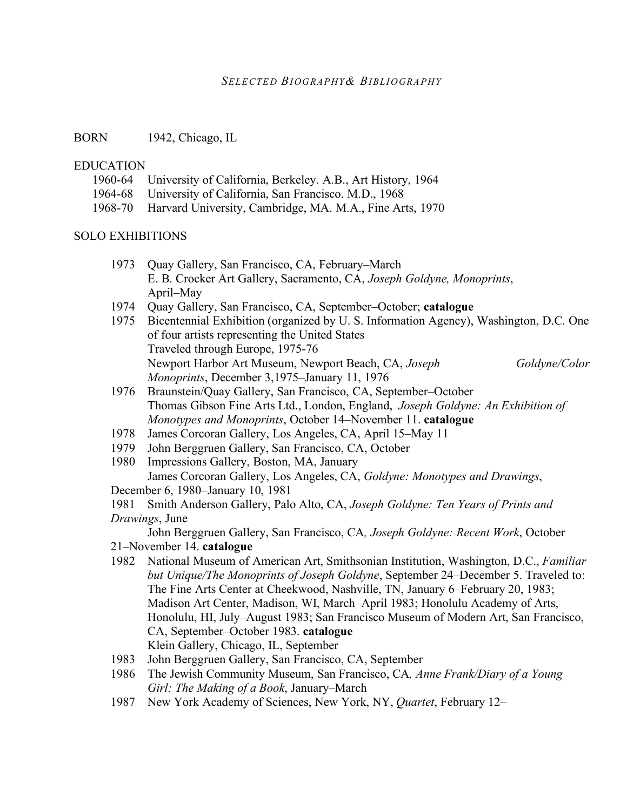## *SELECTED BIOGRAPHY& BIBLIOGRAPHY*

BORN 1942, Chicago, IL

## **EDUCATION**

- 1960-64 University of California, Berkeley. A.B., Art History, 1964
- 1964-68 University of California, San Francisco. M.D., 1968
- 1968-70 Harvard University, Cambridge, MA. M.A., Fine Arts, 1970

#### SOLO EXHIBITIONS

- 1973 Quay Gallery, San Francisco, CA, February–March E. B. Crocker Art Gallery, Sacramento, CA, *Joseph Goldyne, Monoprints*, April–May
- 1974 Quay Gallery, San Francisco, CA, September–October; **catalogue**
- 1975 Bicentennial Exhibition (organized by U. S. Information Agency), Washington, D.C. One of four artists representing the United States Traveled through Europe, 1975-76 Newport Harbor Art Museum, Newport Beach, CA, *Joseph Goldyne/Color Monoprints*, December 3,1975–January 11, 1976
- 1976 Braunstein/Quay Gallery, San Francisco, CA, September–October Thomas Gibson Fine Arts Ltd., London, England, *Joseph Goldyne: An Exhibition of Monotypes and Monoprints*, October 14–November 11. **catalogue**
- 1978 James Corcoran Gallery, Los Angeles, CA, April 15–May 11
- 1979 John Berggruen Gallery, San Francisco, CA, October
- 1980 Impressions Gallery, Boston, MA, January James Corcoran Gallery, Los Angeles, CA, *Goldyne: Monotypes and Drawings*,
- December 6, 1980–January 10, 1981

1981 Smith Anderson Gallery, Palo Alto, CA, *Joseph Goldyne: Ten Years of Prints and Drawings*, June

John Berggruen Gallery, San Francisco, CA*, Joseph Goldyne: Recent Work*, October 21–November 14. **catalogue**

- 1982 National Museum of American Art, Smithsonian Institution, Washington, D.C., *Familiar but Unique/The Monoprints of Joseph Goldyne*, September 24–December 5. Traveled to: The Fine Arts Center at Cheekwood, Nashville, TN, January 6–February 20, 1983; Madison Art Center, Madison, WI, March–April 1983; Honolulu Academy of Arts, Honolulu, HI, July–August 1983; San Francisco Museum of Modern Art, San Francisco, CA, September–October 1983. **catalogue** Klein Gallery, Chicago, IL, September
- 1983 John Berggruen Gallery, San Francisco, CA, September
- 1986 The Jewish Community Museum, San Francisco, CA*, Anne Frank/Diary of a Young Girl: The Making of a Book*, January–March
- 1987 New York Academy of Sciences, New York, NY, *Quartet*, February 12–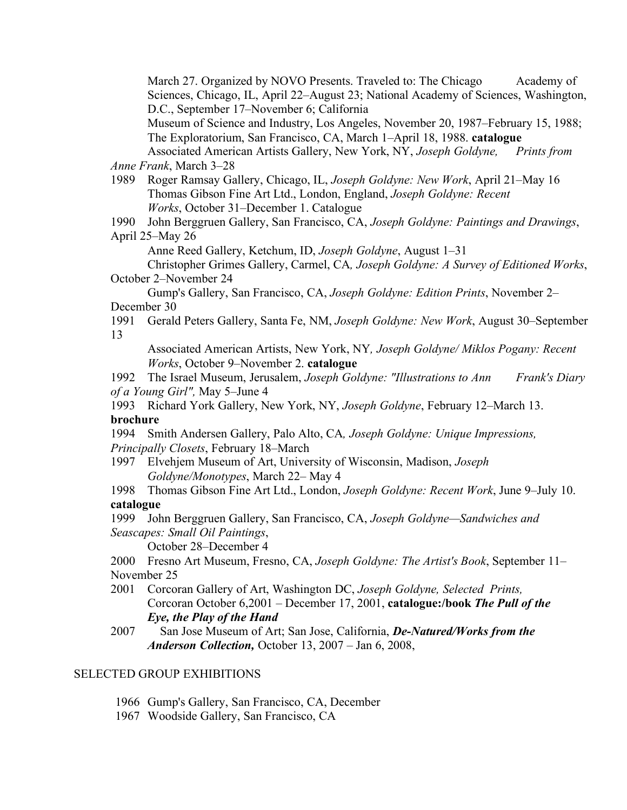March 27. Organized by NOVO Presents. Traveled to: The Chicago Academy of Sciences, Chicago, IL, April 22–August 23; National Academy of Sciences, Washington, D.C., September 17–November 6; California

Museum of Science and Industry, Los Angeles, November 20, 1987–February 15, 1988; The Exploratorium, San Francisco, CA, March 1–April 18, 1988. **catalogue**

Associated American Artists Gallery, New York, NY, *Joseph Goldyne, Prints from Anne Frank*, March 3–28

1989 Roger Ramsay Gallery, Chicago, IL, *Joseph Goldyne: New Work*, April 21–May 16 Thomas Gibson Fine Art Ltd., London, England, *Joseph Goldyne: Recent Works*, October 31–December 1. Catalogue

1990 John Berggruen Gallery, San Francisco, CA, *Joseph Goldyne: Paintings and Drawings*, April 25–May 26

Anne Reed Gallery, Ketchum, ID, *Joseph Goldyne*, August 1–31

Christopher Grimes Gallery, Carmel, CA*, Joseph Goldyne: A Survey of Editioned Works*, October 2–November 24

Gump's Gallery, San Francisco, CA, *Joseph Goldyne: Edition Prints*, November 2– December 30

1991 Gerald Peters Gallery, Santa Fe, NM, *Joseph Goldyne: New Work*, August 30–September 13

Associated American Artists, New York, NY*, Joseph Goldyne/ Miklos Pogany: Recent Works*, October 9–November 2. **catalogue**

1992 The Israel Museum, Jerusalem, *Joseph Goldyne: "Illustrations to Ann Frank's Diary of a Young Girl",* May 5–June 4

1993 Richard York Gallery, New York, NY, *Joseph Goldyne*, February 12–March 13. **brochure**

1994 Smith Andersen Gallery, Palo Alto, CA*, Joseph Goldyne: Unique Impressions, Principally Closets*, February 18–March

1997 Elvehjem Museum of Art, University of Wisconsin, Madison, *Joseph Goldyne/Monotypes*, March 22– May 4

1998 Thomas Gibson Fine Art Ltd., London, *Joseph Goldyne: Recent Work*, June 9–July 10. **catalogue**

1999 John Berggruen Gallery, San Francisco, CA, *Joseph Goldyne—Sandwiches and Seascapes: Small Oil Paintings*,

October 28–December 4

2000 Fresno Art Museum, Fresno, CA, *Joseph Goldyne: The Artist's Book*, September 11– November 25

2001 Corcoran Gallery of Art, Washington DC, *Joseph Goldyne, Selected Prints,* Corcoran October 6,2001 – December 17, 2001, **catalogue:/book** *The Pull of the Eye, the Play of the Hand*

# SELECTED GROUP EXHIBITIONS

- 1966 Gump's Gallery, San Francisco, CA, December
- 1967 Woodside Gallery, San Francisco, CA

<sup>2007</sup> San Jose Museum of Art; San Jose, California, *De-Natured/Works from the Anderson Collection,* October 13, 2007 – Jan 6, 2008,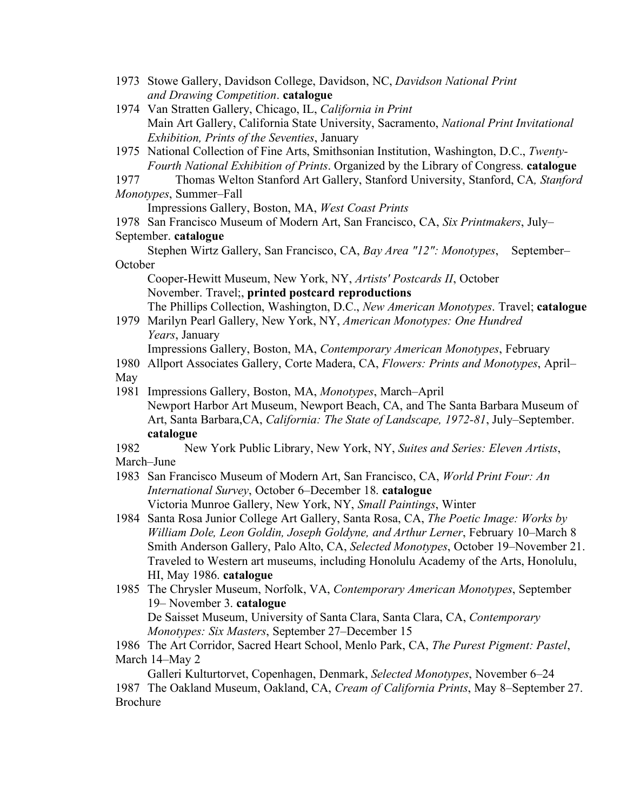- 1973 Stowe Gallery, Davidson College, Davidson, NC, *Davidson National Print and Drawing Competition*. **catalogue**
- 1974 Van Stratten Gallery, Chicago, IL, *California in Print* Main Art Gallery, California State University, Sacramento, *National Print Invitational Exhibition, Prints of the Seventies*, January
- 1975 National Collection of Fine Arts, Smithsonian Institution, Washington, D.C., *Twenty-Fourth National Exhibition of Prints*. Organized by the Library of Congress. **catalogue**

1977 Thomas Welton Stanford Art Gallery, Stanford University, Stanford, CA*, Stanford Monotypes*, Summer–Fall

Impressions Gallery, Boston, MA, *West Coast Prints*

1978 San Francisco Museum of Modern Art, San Francisco, CA, *Six Printmakers*, July– September. **catalogue**

Stephen Wirtz Gallery, San Francisco, CA, *Bay Area "12": Monotypes*, September– **October** 

Cooper-Hewitt Museum, New York, NY, *Artists' Postcards II*, October November. Travel;, **printed postcard reproductions**

The Phillips Collection, Washington, D.C., *New American Monotypes*. Travel; **catalogue**

1979 Marilyn Pearl Gallery, New York, NY, *American Monotypes: One Hundred Years*, January

Impressions Gallery, Boston, MA, *Contemporary American Monotypes*, February

1980 Allport Associates Gallery, Corte Madera, CA, *Flowers: Prints and Monotypes*, April– May

1981 Impressions Gallery, Boston, MA, *Monotypes*, March–April Newport Harbor Art Museum, Newport Beach, CA, and The Santa Barbara Museum of Art, Santa Barbara,CA, *California: The State of Landscape, 1972-81*, July–September. **catalogue**

1982 New York Public Library, New York, NY, *Suites and Series: Eleven Artists*, March–June

- 1983 San Francisco Museum of Modern Art, San Francisco, CA, *World Print Four: An International Survey*, October 6–December 18. **catalogue** Victoria Munroe Gallery, New York, NY, *Small Paintings*, Winter
- 1984 Santa Rosa Junior College Art Gallery, Santa Rosa, CA, *The Poetic Image: Works by William Dole, Leon Goldin, Joseph Goldyne, and Arthur Lerner*, February 10–March 8 Smith Anderson Gallery, Palo Alto, CA, *Selected Monotypes*, October 19–November 21. Traveled to Western art museums, including Honolulu Academy of the Arts, Honolulu, HI, May 1986. **catalogue**
- 1985 The Chrysler Museum, Norfolk, VA, *Contemporary American Monotypes*, September 19– November 3. **catalogue** De Saisset Museum, University of Santa Clara, Santa Clara, CA, *Contemporary*

*Monotypes: Six Masters*, September 27–December 15

1986 The Art Corridor, Sacred Heart School, Menlo Park, CA, *The Purest Pigment: Pastel*, March 14–May 2

Galleri Kulturtorvet, Copenhagen, Denmark, *Selected Monotypes*, November 6–24 1987 The Oakland Museum, Oakland, CA, *Cream of California Prints*, May 8–September 27. Brochure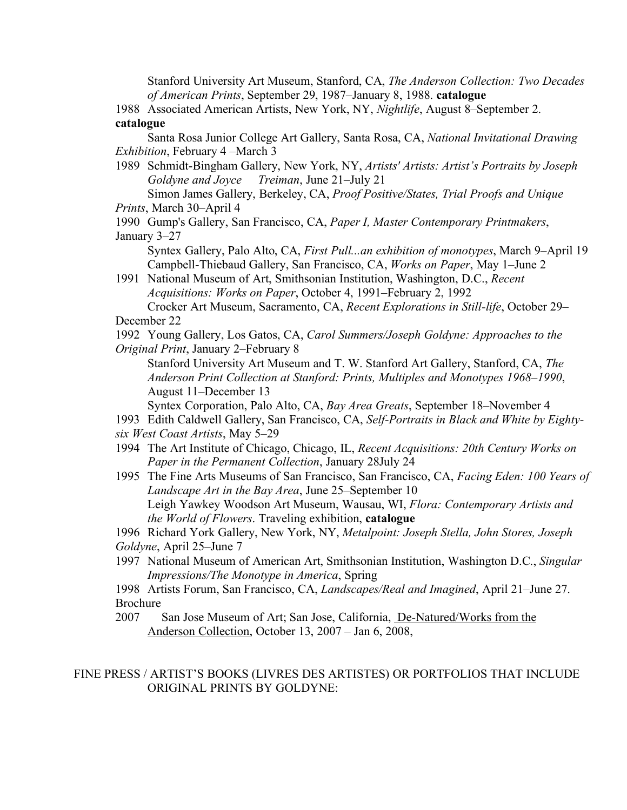Stanford University Art Museum, Stanford, CA, *The Anderson Collection: Two Decades of American Prints*, September 29, 1987–January 8, 1988. **catalogue**

1988 Associated American Artists, New York, NY, *Nightlife*, August 8–September 2. **catalogue**

Santa Rosa Junior College Art Gallery, Santa Rosa, CA, *National Invitational Drawing Exhibition*, February 4 –March 3

1989 Schmidt-Bingham Gallery, New York, NY, *Artists' Artists: Artist's Portraits by Joseph Goldyne and Joyce Treiman*, June 21–July 21

Simon James Gallery, Berkeley, CA, *Proof Positive/States, Trial Proofs and Unique Prints*, March 30–April 4

1990 Gump's Gallery, San Francisco, CA, *Paper I, Master Contemporary Printmakers*, January 3–27

Syntex Gallery, Palo Alto, CA, *First Pull...an exhibition of monotypes*, March 9–April 19 Campbell-Thiebaud Gallery, San Francisco, CA, *Works on Paper*, May 1–June 2

1991 National Museum of Art, Smithsonian Institution, Washington, D.C., *Recent Acquisitions: Works on Paper*, October 4, 1991–February 2, 1992 Crocker Art Museum, Sacramento, CA, *Recent Explorations in Still-life*, October 29–

December 22

1992 Young Gallery, Los Gatos, CA, *Carol Summers/Joseph Goldyne: Approaches to the Original Print*, January 2–February 8

Stanford University Art Museum and T. W. Stanford Art Gallery, Stanford, CA, *The Anderson Print Collection at Stanford: Prints, Multiples and Monotypes 1968–1990*, August 11–December 13

Syntex Corporation, Palo Alto, CA, *Bay Area Greats*, September 18–November 4

- 1993 Edith Caldwell Gallery, San Francisco, CA, *Self-Portraits in Black and White by Eightysix West Coast Artists*, May 5–29
- 1994 The Art Institute of Chicago, Chicago, IL, *Recent Acquisitions: 20th Century Works on Paper in the Permanent Collection*, January 28July 24
- 1995 The Fine Arts Museums of San Francisco, San Francisco, CA, *Facing Eden: 100 Years of Landscape Art in the Bay Area*, June 25–September 10 Leigh Yawkey Woodson Art Museum, Wausau, WI, *Flora: Contemporary Artists and the World of Flowers*. Traveling exhibition, **catalogue**

1996 Richard York Gallery, New York, NY, *Metalpoint: Joseph Stella, John Stores, Joseph Goldyne*, April 25–June 7

1997 National Museum of American Art, Smithsonian Institution, Washington D.C., *Singular Impressions/The Monotype in America*, Spring

1998 Artists Forum, San Francisco, CA, *Landscapes/Real and Imagined*, April 21–June 27. Brochure

2007 San Jose Museum of Art; San Jose, California, De-Natured/Works from the Anderson Collection, October 13, 2007 – Jan 6, 2008,

#### FINE PRESS / ARTIST'S BOOKS (LIVRES DES ARTISTES) OR PORTFOLIOS THAT INCLUDE ORIGINAL PRINTS BY GOLDYNE: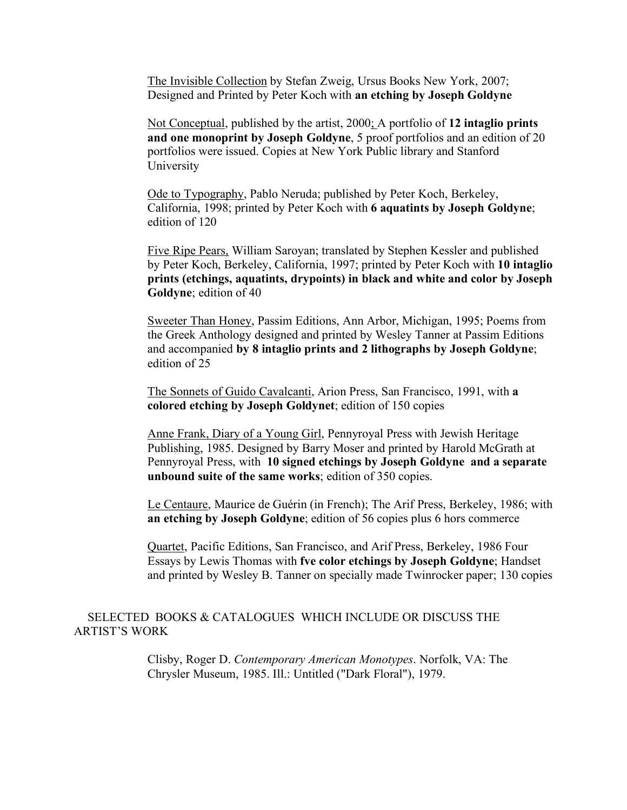The Invisible Collection by Stefan Zweig, Ursus Books New York, 2007; Designed and Printed by Peter Koch with **an etching by Joseph Goldyne**

Not Conceptual, published by the artist, 2000; A portfolio of **12 intaglio prints and one monoprint by Joseph Goldyne**, 5 proof portfolios and an edition of 20 portfolios were issued. Copies at New York Public library and Stanford University

Ode to Typography, Pablo Neruda; published by Peter Koch, Berkeley, California, 1998; printed by Peter Koch with **6 aquatints by Joseph Goldyne**; edition of 120

Five Ripe Pears, William Saroyan; translated by Stephen Kessler and published by Peter Koch, Berkeley, California, 1997; printed by Peter Koch with **10 intaglio prints (etchings, aquatints, drypoints) in black and white and color by Joseph Goldyne**; edition of 40

Sweeter Than Honey, Passim Editions, Ann Arbor, Michigan, 1995; Poems from the Greek Anthology designed and printed by Wesley Tanner at Passim Editions and accompanied **by 8 intaglio prints and 2 lithographs by Joseph Goldyne**; edition of 25

The Sonnets of Guido Cavalcanti, Arion Press, San Francisco, 1991, with **a colored etching by Joseph Goldynet**; edition of 150 copies

Anne Frank, Diary of a Young Girl, Pennyroyal Press with Jewish Heritage Publishing, 1985. Designed by Barry Moser and printed by Harold McGrath at Pennyroyal Press, with **10 signed etchings by Joseph Goldyne and a separate unbound suite of the same works**; edition of 350 copies.

Le Centaure, Maurice de Guérin (in French); The Arif Press, Berkeley, 1986; with **an etching by Joseph Goldyne**; edition of 56 copies plus 6 hors commerce

Quartet, Pacific Editions, San Francisco, and Arif Press, Berkeley, 1986 Four Essays by Lewis Thomas with **fve color etchings by Joseph Goldyne**; Handset and printed by Wesley B. Tanner on specially made Twinrocker paper; 130 copies

#### SELECTED BOOKS & CATALOGUES WHICH INCLUDE OR DISCUSS THE ARTIST'S WORK

Clisby, Roger D. *Contemporary American Monotypes*. Norfolk, VA: The Chrysler Museum, 1985. Ill.: Untitled ("Dark Floral"), 1979.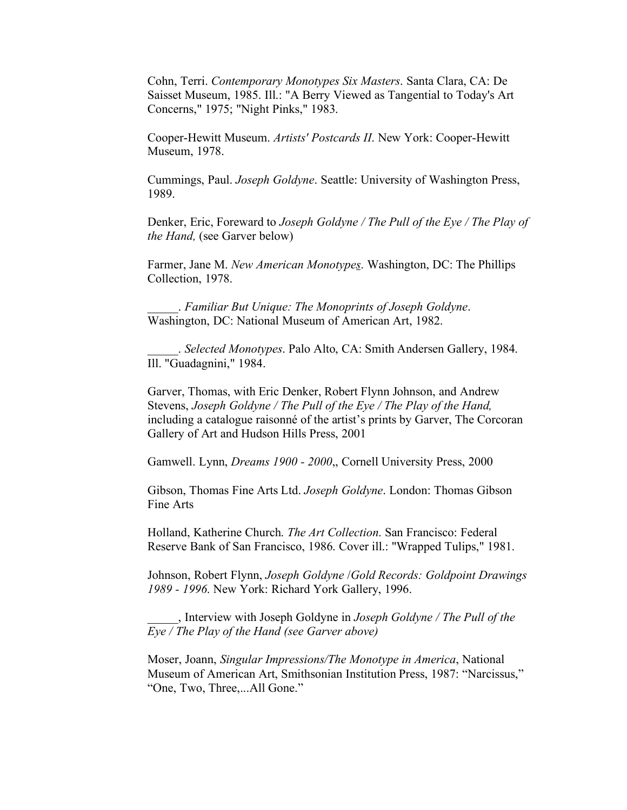Cohn, Terri. *Contemporary Monotypes Six Masters*. Santa Clara, CA: De Saisset Museum, 1985. Ill.: "A Berry Viewed as Tangential to Today's Art Concerns," 1975; "Night Pinks," 1983.

Cooper-Hewitt Museum. *Artists' Postcards II*. New York: Cooper-Hewitt Museum, 1978.

Cummings, Paul. *Joseph Goldyne*. Seattle: University of Washington Press, 1989.

Denker, Eric, Foreward to *Joseph Goldyne / The Pull of the Eye / The Play of the Hand,* (see Garver below)

Farmer, Jane M. *New American Monotypes*. Washington, DC: The Phillips Collection, 1978.

\_\_\_\_\_. *Familiar But Unique: The Monoprints of Joseph Goldyne*. Washington, DC: National Museum of American Art, 1982.

\_\_\_\_\_. *Selected Monotypes*. Palo Alto, CA: Smith Andersen Gallery, 1984. Ill. "Guadagnini," 1984.

Garver, Thomas, with Eric Denker, Robert Flynn Johnson, and Andrew Stevens, *Joseph Goldyne / The Pull of the Eye / The Play of the Hand,* including a catalogue raisonné of the artist's prints by Garver, The Corcoran Gallery of Art and Hudson Hills Press, 2001

Gamwell. Lynn, *Dreams 1900 - 2000*, Cornell University Press, 2000

Gibson, Thomas Fine Arts Ltd. *Joseph Goldyne*. London: Thomas Gibson Fine Arts

Holland, Katherine Church. *The Art Collection*. San Francisco: Federal Reserve Bank of San Francisco, 1986. Cover ill.: "Wrapped Tulips," 1981.

Johnson, Robert Flynn, *Joseph Goldyne* /*Gold Records: Goldpoint Drawings 1989 - 1996*. New York: Richard York Gallery, 1996.

\_\_\_\_\_, Interview with Joseph Goldyne in *Joseph Goldyne / The Pull of the Eye / The Play of the Hand (see Garver above)*

Moser, Joann, *Singular Impressions/The Monotype in America*, National Museum of American Art, Smithsonian Institution Press, 1987: "Narcissus," "One, Two, Three,...All Gone."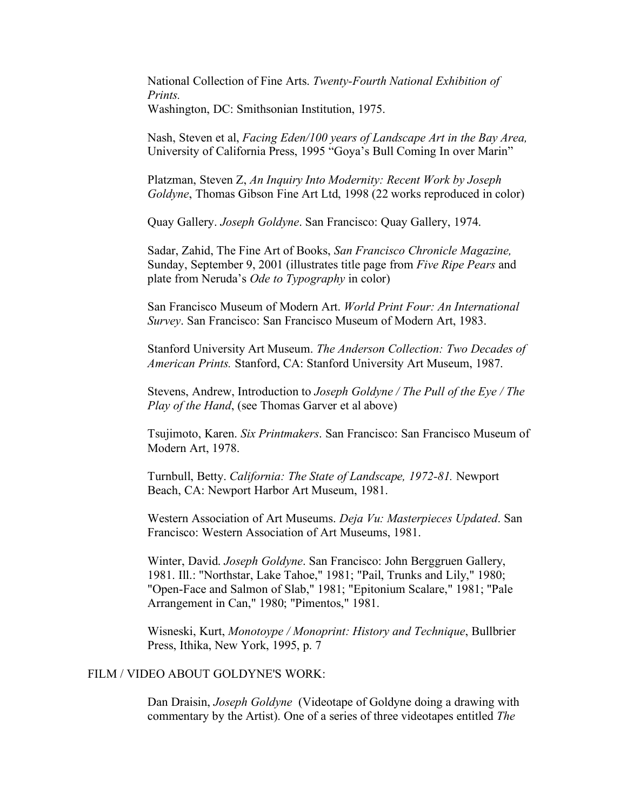National Collection of Fine Arts. *Twenty-Fourth National Exhibition of Prints.*  Washington, DC: Smithsonian Institution, 1975.

Nash, Steven et al, *Facing Eden/100 years of Landscape Art in the Bay Area,* University of California Press, 1995 "Goya's Bull Coming In over Marin"

Platzman, Steven Z, *An Inquiry Into Modernity: Recent Work by Joseph Goldyne*, Thomas Gibson Fine Art Ltd, 1998 (22 works reproduced in color)

Quay Gallery. *Joseph Goldyne*. San Francisco: Quay Gallery, 1974.

Sadar, Zahid, The Fine Art of Books, *San Francisco Chronicle Magazine,* Sunday, September 9, 2001 (illustrates title page from *Five Ripe Pears* and plate from Neruda's *Ode to Typography* in color)

San Francisco Museum of Modern Art. *World Print Four: An International Survey*. San Francisco: San Francisco Museum of Modern Art, 1983.

Stanford University Art Museum. *The Anderson Collection: Two Decades of American Prints.* Stanford, CA: Stanford University Art Museum, 1987.

Stevens, Andrew, Introduction to *Joseph Goldyne / The Pull of the Eye / The Play of the Hand*, (see Thomas Garver et al above)

Tsujimoto, Karen. *Six Printmakers*. San Francisco: San Francisco Museum of Modern Art, 1978.

Turnbull, Betty. *California: The State of Landscape, 1972-81.* Newport Beach, CA: Newport Harbor Art Museum, 1981.

Western Association of Art Museums. *Deja Vu: Masterpieces Updated*. San Francisco: Western Association of Art Museums, 1981.

Winter, David. *Joseph Goldyne*. San Francisco: John Berggruen Gallery, 1981. Ill.: "Northstar, Lake Tahoe," 1981; "Pail, Trunks and Lily," 1980; "Open-Face and Salmon of Slab," 1981; "Epitonium Scalare," 1981; "Pale Arrangement in Can," 1980; "Pimentos," 1981.

Wisneski, Kurt, *Monotoype / Monoprint: History and Technique*, Bullbrier Press, Ithika, New York, 1995, p. 7

#### FILM / VIDEO ABOUT GOLDYNE'S WORK:

Dan Draisin, *Joseph Goldyne* (Videotape of Goldyne doing a drawing with commentary by the Artist). One of a series of three videotapes entitled *The*